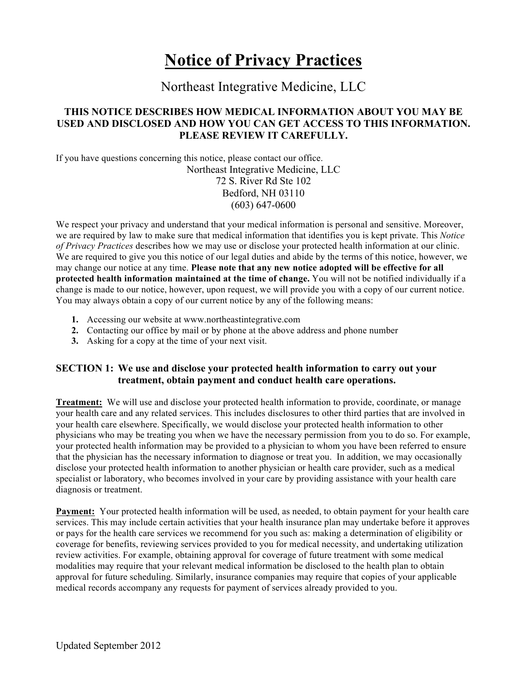# **Notice of Privacy Practices**

# Northeast Integrative Medicine, LLC

## **THIS NOTICE DESCRIBES HOW MEDICAL INFORMATION ABOUT YOU MAY BE USED AND DISCLOSED AND HOW YOU CAN GET ACCESS TO THIS INFORMATION. PLEASE REVIEW IT CAREFULLY.**

If you have questions concerning this notice, please contact our office. Northeast Integrative Medicine, LLC 72 S. River Rd Ste 102 Bedford, NH 03110 (603) 647-0600

We respect your privacy and understand that your medical information is personal and sensitive. Moreover, we are required by law to make sure that medical information that identifies you is kept private. This *Notice of Privacy Practices* describes how we may use or disclose your protected health information at our clinic. We are required to give you this notice of our legal duties and abide by the terms of this notice, however, we may change our notice at any time. **Please note that any new notice adopted will be effective for all protected health information maintained at the time of change.** You will not be notified individually if a change is made to our notice, however, upon request, we will provide you with a copy of our current notice. You may always obtain a copy of our current notice by any of the following means:

- **1.** Accessing our website at www.northeastintegrative.com
- **2.** Contacting our office by mail or by phone at the above address and phone number
- **3.** Asking for a copy at the time of your next visit.

## **SECTION 1: We use and disclose your protected health information to carry out your treatment, obtain payment and conduct health care operations.**

**Treatment:** We will use and disclose your protected health information to provide, coordinate, or manage your health care and any related services. This includes disclosures to other third parties that are involved in your health care elsewhere. Specifically, we would disclose your protected health information to other physicians who may be treating you when we have the necessary permission from you to do so. For example, your protected health information may be provided to a physician to whom you have been referred to ensure that the physician has the necessary information to diagnose or treat you. In addition, we may occasionally disclose your protected health information to another physician or health care provider, such as a medical specialist or laboratory, who becomes involved in your care by providing assistance with your health care diagnosis or treatment.

**Payment:** Your protected health information will be used, as needed, to obtain payment for your health care services. This may include certain activities that your health insurance plan may undertake before it approves or pays for the health care services we recommend for you such as: making a determination of eligibility or coverage for benefits, reviewing services provided to you for medical necessity, and undertaking utilization review activities. For example, obtaining approval for coverage of future treatment with some medical modalities may require that your relevant medical information be disclosed to the health plan to obtain approval for future scheduling. Similarly, insurance companies may require that copies of your applicable medical records accompany any requests for payment of services already provided to you.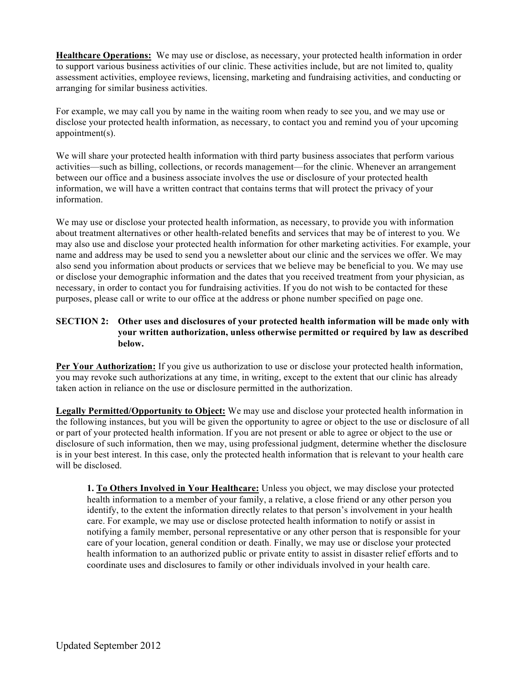**Healthcare Operations:** We may use or disclose, as necessary, your protected health information in order to support various business activities of our clinic. These activities include, but are not limited to, quality assessment activities, employee reviews, licensing, marketing and fundraising activities, and conducting or arranging for similar business activities.

For example, we may call you by name in the waiting room when ready to see you, and we may use or disclose your protected health information, as necessary, to contact you and remind you of your upcoming appointment(s).

We will share your protected health information with third party business associates that perform various activities—such as billing, collections, or records management—for the clinic. Whenever an arrangement between our office and a business associate involves the use or disclosure of your protected health information, we will have a written contract that contains terms that will protect the privacy of your information.

We may use or disclose your protected health information, as necessary, to provide you with information about treatment alternatives or other health-related benefits and services that may be of interest to you. We may also use and disclose your protected health information for other marketing activities. For example, your name and address may be used to send you a newsletter about our clinic and the services we offer. We may also send you information about products or services that we believe may be beneficial to you. We may use or disclose your demographic information and the dates that you received treatment from your physician, as necessary, in order to contact you for fundraising activities. If you do not wish to be contacted for these purposes, please call or write to our office at the address or phone number specified on page one.

#### **SECTION 2: Other uses and disclosures of your protected health information will be made only with your written authorization, unless otherwise permitted or required by law as described below.**

**Per Your Authorization:** If you give us authorization to use or disclose your protected health information, you may revoke such authorizations at any time, in writing, except to the extent that our clinic has already taken action in reliance on the use or disclosure permitted in the authorization.

**Legally Permitted/Opportunity to Object:** We may use and disclose your protected health information in the following instances, but you will be given the opportunity to agree or object to the use or disclosure of all or part of your protected health information. If you are not present or able to agree or object to the use or disclosure of such information, then we may, using professional judgment, determine whether the disclosure is in your best interest. In this case, only the protected health information that is relevant to your health care will be disclosed.

**1. To Others Involved in Your Healthcare:** Unless you object, we may disclose your protected health information to a member of your family, a relative, a close friend or any other person you identify, to the extent the information directly relates to that person's involvement in your health care. For example, we may use or disclose protected health information to notify or assist in notifying a family member, personal representative or any other person that is responsible for your care of your location, general condition or death. Finally, we may use or disclose your protected health information to an authorized public or private entity to assist in disaster relief efforts and to coordinate uses and disclosures to family or other individuals involved in your health care.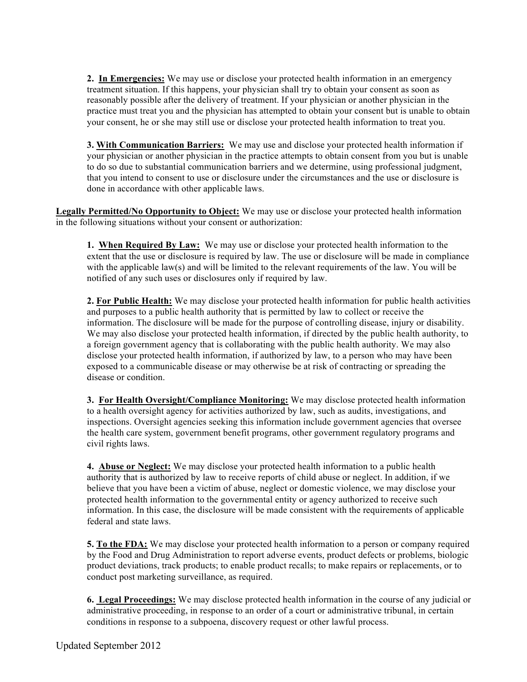**2. In Emergencies:** We may use or disclose your protected health information in an emergency treatment situation. If this happens, your physician shall try to obtain your consent as soon as reasonably possible after the delivery of treatment. If your physician or another physician in the practice must treat you and the physician has attempted to obtain your consent but is unable to obtain your consent, he or she may still use or disclose your protected health information to treat you.

**3. With Communication Barriers:** We may use and disclose your protected health information if your physician or another physician in the practice attempts to obtain consent from you but is unable to do so due to substantial communication barriers and we determine, using professional judgment, that you intend to consent to use or disclosure under the circumstances and the use or disclosure is done in accordance with other applicable laws.

**Legally Permitted/No Opportunity to Object:** We may use or disclose your protected health information in the following situations without your consent or authorization:

**1. When Required By Law:** We may use or disclose your protected health information to the extent that the use or disclosure is required by law. The use or disclosure will be made in compliance with the applicable law(s) and will be limited to the relevant requirements of the law. You will be notified of any such uses or disclosures only if required by law.

**2. For Public Health:** We may disclose your protected health information for public health activities and purposes to a public health authority that is permitted by law to collect or receive the information. The disclosure will be made for the purpose of controlling disease, injury or disability. We may also disclose your protected health information, if directed by the public health authority, to a foreign government agency that is collaborating with the public health authority. We may also disclose your protected health information, if authorized by law, to a person who may have been exposed to a communicable disease or may otherwise be at risk of contracting or spreading the disease or condition.

**3. For Health Oversight/Compliance Monitoring:** We may disclose protected health information to a health oversight agency for activities authorized by law, such as audits, investigations, and inspections. Oversight agencies seeking this information include government agencies that oversee the health care system, government benefit programs, other government regulatory programs and civil rights laws.

**4. Abuse or Neglect:** We may disclose your protected health information to a public health authority that is authorized by law to receive reports of child abuse or neglect. In addition, if we believe that you have been a victim of abuse, neglect or domestic violence, we may disclose your protected health information to the governmental entity or agency authorized to receive such information. In this case, the disclosure will be made consistent with the requirements of applicable federal and state laws.

**5. To the FDA:** We may disclose your protected health information to a person or company required by the Food and Drug Administration to report adverse events, product defects or problems, biologic product deviations, track products; to enable product recalls; to make repairs or replacements, or to conduct post marketing surveillance, as required.

**6. Legal Proceedings:** We may disclose protected health information in the course of any judicial or administrative proceeding, in response to an order of a court or administrative tribunal, in certain conditions in response to a subpoena, discovery request or other lawful process.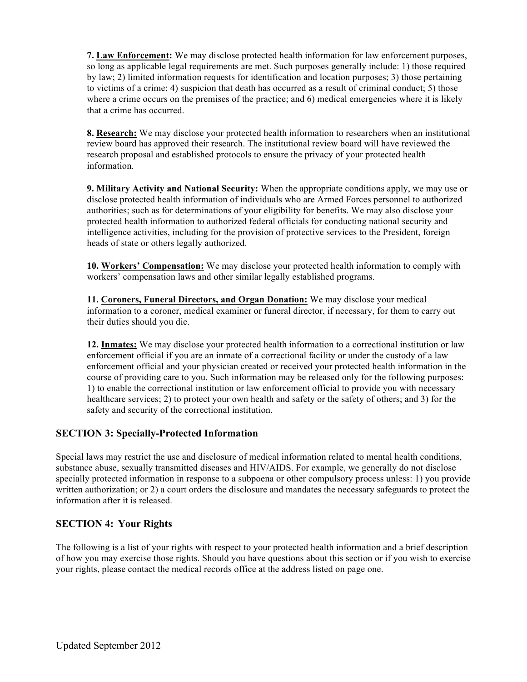**7. Law Enforcement:** We may disclose protected health information for law enforcement purposes, so long as applicable legal requirements are met. Such purposes generally include: 1) those required by law; 2) limited information requests for identification and location purposes; 3) those pertaining to victims of a crime; 4) suspicion that death has occurred as a result of criminal conduct; 5) those where a crime occurs on the premises of the practice; and 6) medical emergencies where it is likely that a crime has occurred.

**8. Research:** We may disclose your protected health information to researchers when an institutional review board has approved their research. The institutional review board will have reviewed the research proposal and established protocols to ensure the privacy of your protected health information.

**9. Military Activity and National Security:** When the appropriate conditions apply, we may use or disclose protected health information of individuals who are Armed Forces personnel to authorized authorities; such as for determinations of your eligibility for benefits. We may also disclose your protected health information to authorized federal officials for conducting national security and intelligence activities, including for the provision of protective services to the President, foreign heads of state or others legally authorized.

**10. Workers' Compensation:** We may disclose your protected health information to comply with workers' compensation laws and other similar legally established programs.

**11. Coroners, Funeral Directors, and Organ Donation:** We may disclose your medical information to a coroner, medical examiner or funeral director, if necessary, for them to carry out their duties should you die.

**12. Inmates:** We may disclose your protected health information to a correctional institution or law enforcement official if you are an inmate of a correctional facility or under the custody of a law enforcement official and your physician created or received your protected health information in the course of providing care to you. Such information may be released only for the following purposes: 1) to enable the correctional institution or law enforcement official to provide you with necessary healthcare services; 2) to protect your own health and safety or the safety of others; and 3) for the safety and security of the correctional institution.

# **SECTION 3: Specially-Protected Information**

Special laws may restrict the use and disclosure of medical information related to mental health conditions, substance abuse, sexually transmitted diseases and HIV/AIDS. For example, we generally do not disclose specially protected information in response to a subpoena or other compulsory process unless: 1) you provide written authorization; or 2) a court orders the disclosure and mandates the necessary safeguards to protect the information after it is released.

# **SECTION 4: Your Rights**

The following is a list of your rights with respect to your protected health information and a brief description of how you may exercise those rights. Should you have questions about this section or if you wish to exercise your rights, please contact the medical records office at the address listed on page one.